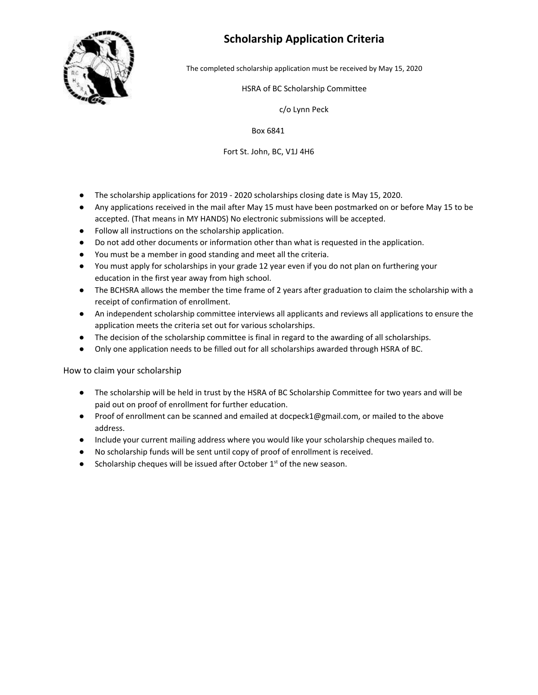

### **Scholarship Application Criteria**

The completed scholarship application must be received by May 15, 2020

#### HSRA of BC Scholarship Committee

c/o Lynn Peck

Box 6841

#### Fort St. John, BC, V1J 4H6

- The scholarship applications for 2019 2020 scholarships closing date is May 15, 2020.
- Any applications received in the mail after May 15 must have been postmarked on or before May 15 to be accepted. (That means in MY HANDS) No electronic submissions will be accepted.
- Follow all instructions on the scholarship application.
- Do not add other documents or information other than what is requested in the application.
- You must be a member in good standing and meet all the criteria.
- You must apply for scholarships in your grade 12 year even if you do not plan on furthering your education in the first year away from high school.
- The BCHSRA allows the member the time frame of 2 years after graduation to claim the scholarship with a receipt of confirmation of enrollment.
- An independent scholarship committee interviews all applicants and reviews all applications to ensure the application meets the criteria set out for various scholarships.
- The decision of the scholarship committee is final in regard to the awarding of all scholarships.
- Only one application needs to be filled out for all scholarships awarded through HSRA of BC.

How to claim your scholarship

- The scholarship will be held in trust by the HSRA of BC Scholarship Committee for two years and will be paid out on proof of enrollment for further education.
- Proof of enrollment can be scanned and emailed at docpeck1@gmail.com, or mailed to the above address.
- Include your current mailing address where you would like your scholarship cheques mailed to.
- No scholarship funds will be sent until copy of proof of enrollment is received.
- Scholarship cheques will be issued after October  $1<sup>st</sup>$  of the new season.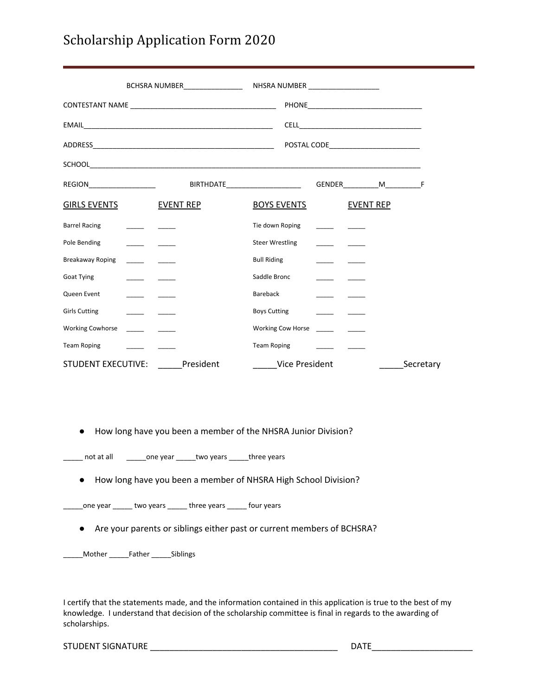# Scholarship Application Form 2020

|                                                                                                |                  | BIRTHDATE_________________________________GENDER____________M___________________F |                  |           |
|------------------------------------------------------------------------------------------------|------------------|-----------------------------------------------------------------------------------|------------------|-----------|
| <b>GIRLS EVENTS</b>                                                                            | <b>EVENT REP</b> | <b>BOYS EVENTS</b>                                                                | <b>EVENT REP</b> |           |
| <b>Barrel Racing</b>                                                                           |                  | Tie down Roping                                                                   |                  |           |
| Pole Bending                                                                                   |                  | <b>Steer Wrestling</b>                                                            |                  |           |
| Breakaway Roping                                                                               |                  | <b>Bull Riding</b>                                                                |                  |           |
| Goat Tying                                                                                     |                  | Saddle Bronc                                                                      |                  |           |
| Queen Event                                                                                    |                  | Bareback                                                                          |                  |           |
| <b>Girls Cutting</b>                                                                           |                  | <b>Boys Cutting</b>                                                               |                  |           |
| <b>Working Cowhorse</b><br>$\frac{1}{2}$ and $\frac{1}{2}$ and $\frac{1}{2}$ and $\frac{1}{2}$ |                  |                                                                                   |                  |           |
| <b>Team Roping</b>                                                                             |                  | <b>Team Roping</b>                                                                |                  |           |
| <b>STUDENT EXECUTIVE:</b>                                                                      | President        | Vice President                                                                    |                  | Secretary |

● How long have you been a member of the NHSRA Junior Division?

\_\_\_\_\_ not at all \_\_\_\_\_\_\_\_one year \_\_\_\_\_\_two years \_\_\_\_\_\_three years

● How long have you been a member of NHSRA High School Division?

\_\_one year  $\frac{1}{2}$  two years  $\frac{1}{2}$  three years  $\frac{1}{2}$  four years

● Are your parents or siblings either past or current members of BCHSRA?

\_\_\_\_\_Mother \_\_\_\_\_Father \_\_\_\_\_Siblings

I certify that the statements made, and the information contained in this application is true to the best of my knowledge. I understand that decision of the scholarship committee is final in regards to the awarding of scholarships.

STUDENT SIGNATURE \_\_\_\_\_\_\_\_\_\_\_\_\_\_\_\_\_\_\_\_\_\_\_\_\_\_\_\_\_\_\_\_\_\_\_\_\_\_\_ DATE\_\_\_\_\_\_\_\_\_\_\_\_\_\_\_\_\_\_\_\_\_